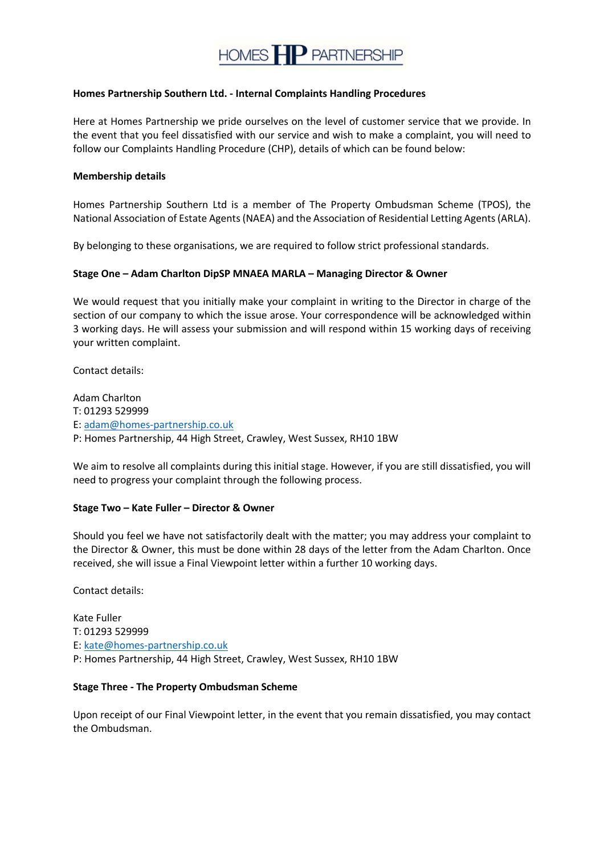

# **Homes Partnership Southern Ltd. - Internal Complaints Handling Procedures**

Here at Homes Partnership we pride ourselves on the level of customer service that we provide. In the event that you feel dissatisfied with our service and wish to make a complaint, you will need to follow our Complaints Handling Procedure (CHP), details of which can be found below:

#### **Membership details**

Homes Partnership Southern Ltd is a member of The Property Ombudsman Scheme (TPOS), the National Association of Estate Agents (NAEA) and the Association of Residential Letting Agents (ARLA).

By belonging to these organisations, we are required to follow strict professional standards.

# **Stage One – Adam Charlton DipSP MNAEA MARLA – Managing Director & Owner**

We would request that you initially make your complaint in writing to the Director in charge of the section of our company to which the issue arose. Your correspondence will be acknowledged within 3 working days. He will assess your submission and will respond within 15 working days of receiving your written complaint.

Contact details:

Adam Charlton T: 01293 529999 E: adam@homes-partnership.co.uk P: Homes Partnership, 44 High Street, Crawley, West Sussex, RH10 1BW

We aim to resolve all complaints during this initial stage. However, if you are still dissatisfied, you will need to progress your complaint through the following process.

### **Stage Two – Kate Fuller – Director & Owner**

Should you feel we have not satisfactorily dealt with the matter; you may address your complaint to the Director & Owner, this must be done within 28 days of the letter from the Adam Charlton. Once received, she will issue a Final Viewpoint letter within a further 10 working days.

Contact details:

Kate Fuller T: 01293 529999 E: kate@homes-partnership.co.uk P: Homes Partnership, 44 High Street, Crawley, West Sussex, RH10 1BW

# **Stage Three - The Property Ombudsman Scheme**

Upon receipt of our Final Viewpoint letter, in the event that you remain dissatisfied, you may contact the Ombudsman.